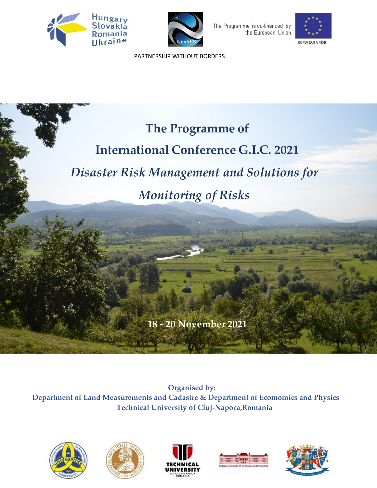





 [PARTNERSHIP](file:///D:/GEOSES-HUSKROUA/INTERNATIONAL%20CONFERENCE/AFIS-WS_001.png) WITHOUT BORDERS

## **The Programme of**

## **International Conference G.I.C. 2021**

## *Disaster Risk Management and Solutions for*

## *Monitoring of Risks*

**18 - 20 November 2021**

 **Organised by: Department of Land Measurements and Cadastre & Department of Ecomomics and Physics Technical University of Cluj-Napoca,Romania**









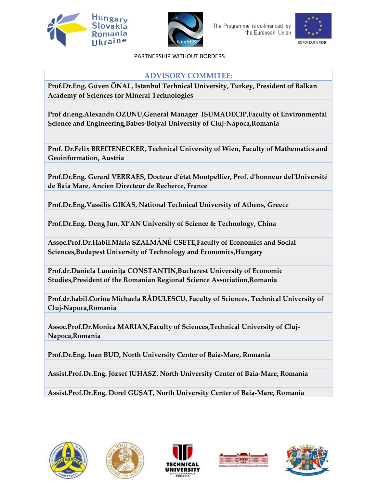





 [PARTNERSHIP](file:///D:/GEOSES-HUSKROUA/INTERNATIONAL%20CONFERENCE/AFIS-WS_001.png) WITHOUT BORDERS

#### **ADVISORY COMMITEE:**

**Prof.Dr.Eng. Güven ÖNAL, Istanbul Technical University, Turkey, President of Balkan Academy of Sciences for Mineral Technologies**

**Prof dr.eng.Alexandu OZUNU,General Manager ISUMADECIP,Faculty of Environmental Science and Engineering,Babes-Bolyai University of Cluj-Napoca,Romania**

**Prof. Dr.Felix BREITENECKER, Technical University of Wien, Faculty of Mathematics and Geoinformation, Austria** 

**Prof.Dr.Eng. Gerard VERRAES, Docteur d′état Montpellier, Prof. d′honneur del′Université de Baia Mare, Ancien Directeur de Recherce, France**

**Prof.Dr.Eng.Vassilis GIKAS, National Technical University of Athens, Greece**

**Prof.Dr.Eng. Deng Jun, XI'AN University of Science & Technology, China**

**Assoc.Prof.Dr.Habil.Mária SZALMÁNÉ CSETE,Faculty of Economics and Social Sciences,Budapest University of Technology and Economics,Hungary**

**Prof.dr.Daniela Luminița CONSTANTIN,Bucharest University of Economic Studies,President of the Romanian Regional Science Association,Romania**

**Prof.dr.habil.Corina Michaela RĂDULESCU, Faculty of Sciences, Technical University of Cluj-Napoca,Romania**

**Assoc.Prof.Dr.Monica MARIAN,Faculty of Sciences,Technical University of Cluj-Napoca,Romania**

**Prof.Dr.Eng. Ioan BUD, North University Center of Baia-Mare, Romania**

**Assist.Prof.Dr.Eng. József JUHÁSZ, North University Center of Baia-Mare, Romania**

**Assist.Prof.Dr.Eng. Dorel GUȘAT, North University Center of Baia-Mare, Romania**









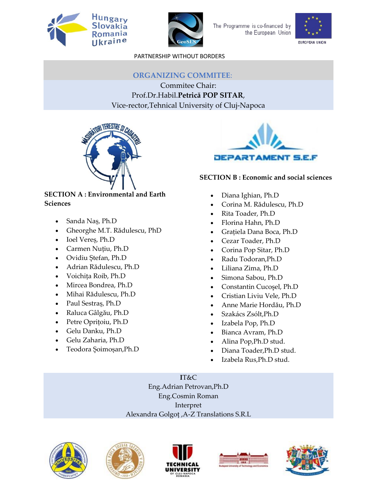





 [PARTNERSHIP](file:///D:/GEOSES-HUSKROUA/INTERNATIONAL%20CONFERENCE/AFIS-WS_001.png) WITHOUT BORDERS

#### **ORGANIZING COMMITEE**:

Commitee Chair: Prof.Dr.Habil.**Petrică POP SITAR**, Vice-rector,Tehnical University of Cluj-Napoca



# **JEPARTAMENT S.E.F**

#### **SECTION B : Economic and social sciences**

#### • Diana Ighian, Ph.D

- Corina M. Rădulescu, Ph.D
- Rita Toader, Ph.D
- Florina Hahn, Ph.D
- Grațiela Dana Boca, Ph.D
- Cezar Toader, Ph.D
- Corina Pop Sitar, Ph.D
- Radu Todoran,Ph.D
- Liliana Zima, Ph.D
- Simona Sabou, Ph.D
- Constantin Cucoşel, Ph.D
- Cristian Liviu Vele, Ph.D
- Anne Marie Hordău, Ph.D
- Szakács Zsólt,Ph.D
- Izabela Pop, Ph.D
- Bianca Avram, Ph.D
- Alina Pop,Ph.D stud.
- Diana Toader,Ph.D stud.
- Izabela Rus,Ph.D stud.

**I**T&C Eng.Adrian Petrovan,Ph.D Eng.Cosmin Roman Interpret Alexandra Golgoț ,A-Z Translations S.R.L











- **SECTION A : Environmental and Earth Sciences**
	- Sanda Naș, Ph.D
	- Gheorghe M.T. Rădulescu, PhD
	- Ioel Vereș, Ph.D
	- Carmen Nuțiu, Ph.D
	- Ovidiu Ștefan, Ph.D
	- Adrian Rădulescu, Ph.D
	- Voichița Roib, Ph.D
	- Mircea Bondrea, Ph.D
	- Mihai Rădulescu, Ph.D
	- Paul Sestraș, Ph.D
	- Raluca Gâlgău, Ph.D
	- Petre Oprițoiu, Ph.D
	- Gelu Danku, Ph.D
	- Gelu Zaharia, Ph.D
	- Teodora Șoimoșan,Ph.D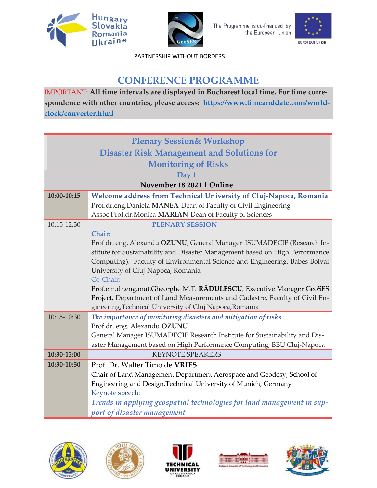





 [PARTNERSHIP](file:///D:/GEOSES-HUSKROUA/INTERNATIONAL%20CONFERENCE/AFIS-WS_001.png) WITHOUT BORDERS

### **CONFERENCE PROGRAMME**

IMPORTANT: **All time intervals are displayed in Bucharest local time. For time correspondence with other countries, please access: [https://www.timeanddate.com/world](https://www.timeanddate.com/worldclock/converter.html)[clock/converter.html](https://www.timeanddate.com/worldclock/converter.html)**

| <b>Plenary Session&amp; Workshop</b>                                                                                                   |  |
|----------------------------------------------------------------------------------------------------------------------------------------|--|
| <b>Disaster Risk Management and Solutions for</b>                                                                                      |  |
| <b>Monitoring of Risks</b>                                                                                                             |  |
| Day 1                                                                                                                                  |  |
| November 18 2021   Online                                                                                                              |  |
| Welcome address from Technical University of Cluj-Napoca, Romania                                                                      |  |
| Prof.dr.eng.Daniela MANEA-Dean of Faculty of Civil Engineering                                                                         |  |
| Assoc.Prof.dr.Monica MARIAN-Dean of Faculty of Sciences                                                                                |  |
| <b>PLENARY SESSION</b>                                                                                                                 |  |
| Chair:                                                                                                                                 |  |
| Prof dr. eng. Alexandu OZUNU, General Manager ISUMADECIP (Research In-                                                                 |  |
| stitute for Sustainability and Disaster Management based on High Performance                                                           |  |
| Computing), Faculty of Environmental Science and Engineering, Babes-Bolyai                                                             |  |
| University of Cluj-Napoca, Romania                                                                                                     |  |
| Co-Chair:                                                                                                                              |  |
| Prof.em.dr.eng.mat.Gheorghe M.T. RÄDULESCU, Executive Manager GeoSES                                                                   |  |
| Project, Department of Land Measurements and Cadastre, Faculty of Civil En-<br>gineering, Technical University of Cluj Napoca, Romania |  |
|                                                                                                                                        |  |
| The importance of monitoring disasters and mitigation of risks<br>Prof dr. eng. Alexandu OZUNU                                         |  |
| General Manager ISUMADECIP Research Institute for Sustainability and Dis-                                                              |  |
| aster Management based on High Performance Computing, BBU Cluj-Napoca                                                                  |  |
| <b>KEYNOTE SPEAKERS</b>                                                                                                                |  |
| Prof. Dr. Walter Timo de VRIES                                                                                                         |  |
| Chair of Land Management Department Aerospace and Geodesy, School of                                                                   |  |
| Engineering and Design, Technical University of Munich, Germany                                                                        |  |
| Keynote speech:                                                                                                                        |  |
| Trends in applying geospatial technologies for land management in sup-                                                                 |  |
| port of disaster management                                                                                                            |  |
|                                                                                                                                        |  |









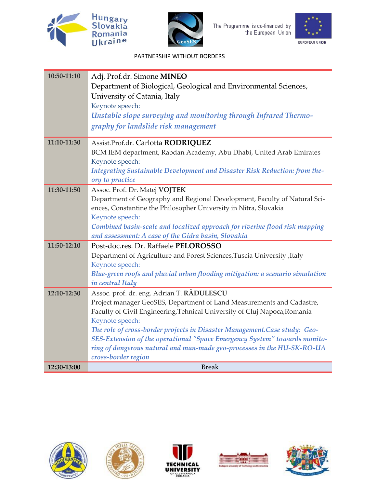





| 10:50-11:10 | Adj. Prof.dr. Simone MINEO<br>Department of Biological, Geological and Environmental Sciences,<br>University of Catania, Italy<br>Keynote speech:                                                                                                                                                                                                                                                                                                                              |
|-------------|--------------------------------------------------------------------------------------------------------------------------------------------------------------------------------------------------------------------------------------------------------------------------------------------------------------------------------------------------------------------------------------------------------------------------------------------------------------------------------|
|             | Unstable slope surveying and monitoring through Infrared Thermo-<br>graphy for landslide risk management                                                                                                                                                                                                                                                                                                                                                                       |
| 11:10-11:30 | Assist.Prof.dr. Carlotta RODRIQUEZ<br>BCM IEM department, Rabdan Academy, Abu Dhabi, United Arab Emirates<br>Keynote speech:<br>Integrating Sustainable Development and Disaster Risk Reduction: from the-<br>ory to practice                                                                                                                                                                                                                                                  |
| 11:30-11:50 | Assoc. Prof. Dr. Matej VOJTEK<br>Department of Geography and Regional Development, Faculty of Natural Sci-<br>ences, Constantine the Philosopher University in Nitra, Slovakia<br>Keynote speech:<br>Combined basin-scale and localized approach for riverine flood risk mapping<br>and assessment: A case of the Gidra basin, Slovakia                                                                                                                                        |
| 11:50-12:10 | Post-doc.res. Dr. Raffaele PELOROSSO<br>Department of Agriculture and Forest Sciences, Tuscia University, Italy<br>Keynote speech:<br>Blue-green roofs and pluvial urban flooding mitigation: a scenario simulation<br>in central Italy                                                                                                                                                                                                                                        |
| 12:10-12:30 | Assoc. prof. dr. eng. Adrian T. RADULESCU<br>Project manager GeoSES, Department of Land Measurements and Cadastre,<br>Faculty of Civil Engineering, Tehnical University of Cluj Napoca, Romania<br>Keynote speech:<br>The role of cross-border projects in Disaster Management.Case study: Geo-<br>SES-Extension of the operational "Space Emergency System" towards monito-<br>ring of dangerous natural and man-made geo-processes in the HU-SK-RO-UA<br>cross-border region |
| 12:30-13:00 | <b>Break</b>                                                                                                                                                                                                                                                                                                                                                                                                                                                                   |









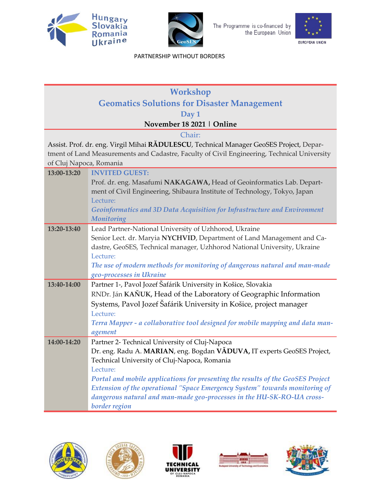





| <b>Workshop</b>                                    |                                                                                                                                                    |
|----------------------------------------------------|----------------------------------------------------------------------------------------------------------------------------------------------------|
| <b>Geomatics Solutions for Disaster Management</b> |                                                                                                                                                    |
|                                                    | Day 1                                                                                                                                              |
|                                                    | November 18 2021   Online                                                                                                                          |
|                                                    | Chair:                                                                                                                                             |
|                                                    | Assist. Prof. dr. eng. Virgil Mihai RADULESCU, Technical Manager GeoSES Project, Depar-                                                            |
|                                                    | tment of Land Measurements and Cadastre, Faculty of Civil Engineering, Technical University                                                        |
| of Cluj Napoca, Romania                            |                                                                                                                                                    |
| 13:00-13:20                                        | <b>INVITED GUEST:</b>                                                                                                                              |
|                                                    | Prof. dr. eng. Masafumi NAKAGAWA, Head of Geoinformatics Lab. Depart-                                                                              |
|                                                    | ment of Civil Engineering, Shibaura Institute of Technology, Tokyo, Japan                                                                          |
|                                                    | Lecture:                                                                                                                                           |
|                                                    | Geoinformatics and 3D Data Acquisition for Infrastructure and Environment                                                                          |
|                                                    | Monitoring                                                                                                                                         |
| 13:20-13:40                                        | Lead Partner-National University of Uzhhorod, Ukraine                                                                                              |
|                                                    | Senior Lect. dr. Maryia NYCHVID, Department of Land Management and Ca-<br>dastre, GeoSES, Technical manager, Uzhhorod National University, Ukraine |
|                                                    | Lecture:                                                                                                                                           |
|                                                    | The use of modern methods for monitoring of dangerous natural and man-made                                                                         |
|                                                    | geo-processes in Ukraine                                                                                                                           |
| 13:40-14:00                                        | Partner 1-, Pavol Jozef Šafárik University in Košice, Slovakia                                                                                     |
|                                                    | RNDr. Ján KAŇUK, Head of the Laboratory of Geographic Information                                                                                  |
|                                                    | Systems, Pavol Jozef Šafárik University in Košice, project manager                                                                                 |
|                                                    | Lecture:                                                                                                                                           |
|                                                    | Terra Mapper - a collaborative tool designed for mobile mapping and data man-                                                                      |
|                                                    | agement                                                                                                                                            |
| 14:00-14:20                                        | Partner 2- Technical University of Cluj-Napoca                                                                                                     |
|                                                    | Dr. eng. Radu A. MARIAN, eng. Bogdan VĂDUVA, IT experts GeoSES Project,                                                                            |
|                                                    | Technical University of Cluj-Napoca, Romania                                                                                                       |
|                                                    | Lecture:                                                                                                                                           |
|                                                    | Portal and mobile applications for presenting the results of the GeoSES Project                                                                    |
|                                                    | Extension of the operational "Space Emergency System" towards monitoring of                                                                        |
|                                                    | dangerous natural and man-made geo-processes in the HU-SK-RO-UA cross-                                                                             |
|                                                    | border region                                                                                                                                      |









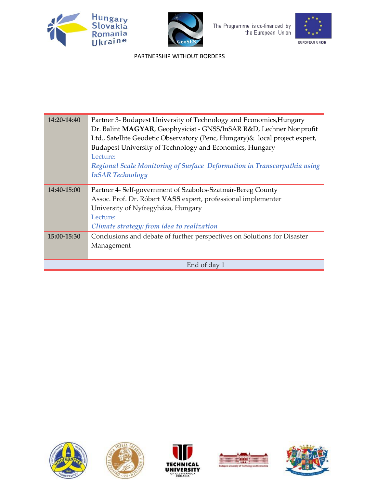





| 14:20-14:40  | Partner 3- Budapest University of Technology and Economics, Hungary          |
|--------------|------------------------------------------------------------------------------|
|              | Dr. Balint MAGYAR, Geophysicist - GNSS/InSAR R&D, Lechner Nonprofit          |
|              | Ltd., Satellite Geodetic Observatory (Penc, Hungary) & local project expert, |
|              | Budapest University of Technology and Economics, Hungary                     |
|              | Lecture:                                                                     |
|              | Regional Scale Monitoring of Surface Deformation in Transcarpathia using     |
|              | <b>InSAR Technology</b>                                                      |
| 14:40-15:00  | Partner 4- Self-government of Szabolcs-Szatmár-Bereg County                  |
|              | Assoc. Prof. Dr. Róbert VASS expert, professional implementer                |
|              | University of Nyíregyháza, Hungary                                           |
|              | Lecture:                                                                     |
|              | Climate strategy: from idea to realization                                   |
| 15:00-15:30  | Conclusions and debate of further perspectives on Solutions for Disaster     |
|              | Management                                                                   |
|              |                                                                              |
| End of day 1 |                                                                              |









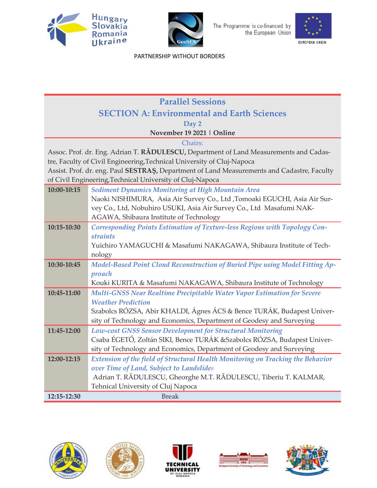





| <b>Parallel Sessions</b>                           |                                                                                            |
|----------------------------------------------------|--------------------------------------------------------------------------------------------|
| <b>SECTION A: Environmental and Earth Sciences</b> |                                                                                            |
|                                                    | Day 2                                                                                      |
|                                                    | November 19 2021   Online                                                                  |
|                                                    | Chairs:                                                                                    |
|                                                    | Assoc. Prof. dr. Eng. Adrian T. RADULESCU, Department of Land Measurements and Cadas-      |
|                                                    | tre, Faculty of Civil Engineering, Technical University of Cluj-Napoca                     |
|                                                    | Assist. Prof. dr. eng. Paul SESTRAS, Department of Land Measurements and Cadastre, Faculty |
|                                                    | of Civil Engineering, Technical University of Cluj-Napoca                                  |
| 10:00-10:15                                        | Sediment Dynamics Monitoring at High Mountain Area                                         |
|                                                    | Naoki NISHIMURA, Asia Air Survey Co., Ltd ,Tomoaki EGUCHI, Asia Air Sur-                   |
|                                                    | vey Co., Ltd, Nobuhiro USUKI, Asia Air Survey Co., Ltd Masafumi NAK-                       |
|                                                    | AGAWA, Shibaura Institute of Technology                                                    |
| 10:15-10:30                                        | Corresponding Points Estimation of Texture-less Regions with Topology Con-                 |
|                                                    | straints                                                                                   |
|                                                    | Yuichiro YAMAGUCHI & Masafumi NAKAGAWA, Shibaura Institute of Tech-                        |
| 10:30-10:45                                        | nology<br>Model-Based Point Cloud Reconstruction of Buried Pipe using Model Fitting Ap-    |
|                                                    | proach                                                                                     |
|                                                    | Kouki KURITA & Masafumi NAKAGAWA, Shibaura Institute of Technology                         |
| 10:45-11:00                                        | Multi-GNSS Near Realtime Precipitable Water Vapor Estimation for Severe                    |
|                                                    | <b>Weather Prediction</b>                                                                  |
|                                                    | Szabolcs RÓZSA, Abir KHALDI, Ágnes ÁCS & Bence TURÁK, Budapest Univer-                     |
|                                                    | sity of Technology and Economics, Department of Geodesy and Surveying                      |
| 11:45-12:00                                        | Low-cost GNSS Sensor Development for Structural Monitoring                                 |
|                                                    | Csaba ÉGETŐ, Zoltán SIKI, Bence TURÁK & Szabolcs RÓZSA, Budapest Univer-                   |
|                                                    | sity of Technology and Economics, Department of Geodesy and Surveying                      |
| 12:00-12:15                                        | Extension of the field of Structural Health Monitoring on Tracking the Behavior            |
|                                                    | over Time of Land, Subject to Landslides                                                   |
|                                                    | Adrian T. RĂDULESCU, Gheorghe M.T. RĂDULESCU, Tiberiu T. KALMAR,                           |
|                                                    | Tehnical University of Cluj Napoca                                                         |
| 12:15-12:30                                        | <b>Break</b>                                                                               |









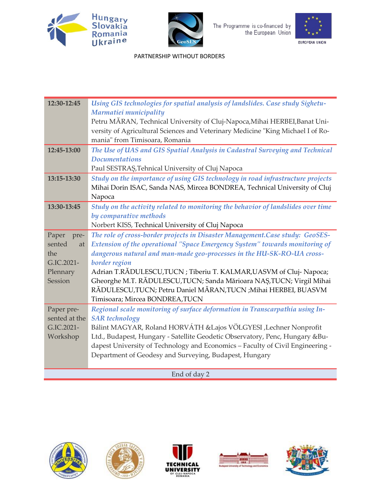





 [PARTNERSHIP](file:///D:/GEOSES-HUSKROUA/INTERNATIONAL%20CONFERENCE/AFIS-WS_001.png) WITHOUT BORDERS

| 12:30-12:45   | Using GIS technologies for spatial analysis of landslides. Case study Sighetu-   |
|---------------|----------------------------------------------------------------------------------|
|               | Marmatiei municipality                                                           |
|               | Petru MÅRAN, Technical University of Cluj-Napoca, Mihai HERBEI, Banat Uni-       |
|               | versity of Agricultural Sciences and Veterinary Medicine "King Michael I of Ro-  |
|               | mania" from Timisoara, Romania                                                   |
| 12:45-13:00   | The Use of UAS and GIS Spatial Analysis in Cadastral Surveying and Technical     |
|               | <b>Documentations</b>                                                            |
|               | Paul SESTRAS, Tehnical University of Cluj Napoca                                 |
| 13:15-13:30   | Study on the importance of using GIS technology in road infrastructure projects  |
|               | Mihai Dorin ISAC, Sanda NAS, Mircea BONDREA, Technical University of Cluj        |
|               | Napoca                                                                           |
| 13:30-13:45   | Study on the activity related to monitoring the behavior of landslides over time |
|               | by comparative methods                                                           |
|               | Norbert KISS, Technical University of Cluj Napoca                                |
| Paper<br>pre- | The role of cross-border projects in Disaster Management.Case study: GeoSES-     |
| sented<br>at  | Extension of the operational "Space Emergency System" towards monitoring of      |
| the           | dangerous natural and man-made geo-processes in the HU-SK-RO-UA cross-           |
| G.IC.2021-    | border region                                                                    |
| Plennary      | Adrian T.RĂDULESCU,TUCN; Tiberiu T. KALMAR,UASVM of Cluj-Napoca;                 |
| Session       | Gheorghe M.T. RĂDULESCU, TUCN; Sanda Mărioara NAȘ, TUCN; Virgil Mihai            |
|               | RĂDULESCU, TUCN; Petru Daniel MĂRAN, TUCN ; Mihai HERBEI, BUASVM                 |
|               | Timisoara; Mircea BONDREA, TUCN                                                  |
| Paper pre-    | Regional scale monitoring of surface deformation in Transcarpathia using In-     |
| sented at the | <b>SAR</b> technology                                                            |
| G.IC.2021-    | Bálint MAGYAR, Roland HORVÁTH & Lajos VÖLGYESI, Lechner Nonprofit                |
| Workshop      | Ltd., Budapest, Hungary - Satellite Geodetic Observatory, Penc, Hungary &Bu-     |
|               | dapest University of Technology and Economics - Faculty of Civil Engineering -   |
|               | Department of Geodesy and Surveying, Budapest, Hungary                           |
|               |                                                                                  |
| End of day 2  |                                                                                  |

End of day 2









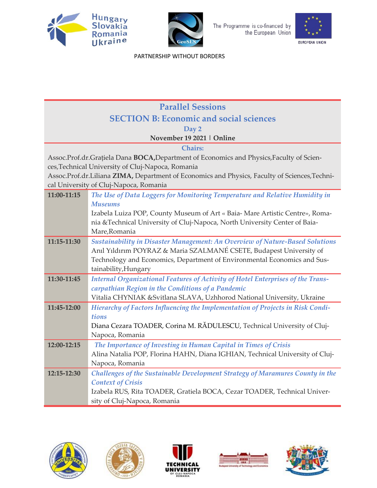





| <b>Parallel Sessions</b>                       |                                                                                                         |
|------------------------------------------------|---------------------------------------------------------------------------------------------------------|
| <b>SECTION B: Economic and social sciences</b> |                                                                                                         |
|                                                | Day 2                                                                                                   |
|                                                | November 19 2021   Online                                                                               |
|                                                | <b>Chairs:</b>                                                                                          |
|                                                | Assoc.Prof.dr.Grațiela Dana BOCA,Department of Economics and Physics,Faculty of Scien-                  |
|                                                | ces, Technical University of Cluj-Napoca, Romania                                                       |
|                                                | Assoc.Prof.dr.Liliana ZIMA, Department of Economics and Physics, Faculty of Sciences, Techni-           |
|                                                | cal University of Cluj-Napoca, Romania                                                                  |
| 11:00-11:15                                    | The Use of Data Loggers for Monitoring Temperature and Relative Humidity in                             |
|                                                | <b>Museums</b>                                                                                          |
|                                                | Izabela Luiza POP, County Museum of Art « Baia- Mare Artistic Centre», Roma-                            |
|                                                | nia & Technical University of Cluj-Napoca, North University Center of Baia-                             |
|                                                | Mare, Romania                                                                                           |
| 11:15-11:30                                    | Sustainability in Disaster Management: An Overview of Nature-Based Solutions                            |
|                                                | Anıl Yıldırım POYRAZ & Maria SZALMANÉ CSETE, Budapest University of                                     |
|                                                | Technology and Economics, Department of Environmental Economics and Sus-                                |
| 11:30-11:45                                    | tainability, Hungary<br>Internal Organizational Features of Activity of Hotel Enterprises of the Trans- |
|                                                | carpathian Region in the Conditions of a Pandemic                                                       |
|                                                | Vitalia CHYNIAK & Svitlana SLAVA, Uzhhorod National University, Ukraine                                 |
| 11:45-12:00                                    | Hierarchy of Factors Influencing the Implementation of Projects in Risk Condi-                          |
|                                                | tions                                                                                                   |
|                                                | Diana Cezara TOADER, Corina M. RĂDULESCU, Technical University of Cluj-                                 |
|                                                | Napoca, Romania                                                                                         |
| 12:00-12:15                                    | The Importance of Investing in Human Capital in Times of Crisis                                         |
|                                                | Alina Natalia POP, Florina HAHN, Diana IGHIAN, Technical University of Cluj-                            |
|                                                | Napoca, Romania                                                                                         |
| 12:15-12:30                                    | Challenges of the Sustainable Development Strategy of Maramures County in the                           |
|                                                | <b>Context of Crisis</b>                                                                                |
|                                                | Izabela RUS, Rita TOADER, Gratiela BOCA, Cezar TOADER, Technical Univer-                                |
|                                                | sity of Cluj-Napoca, Romania                                                                            |